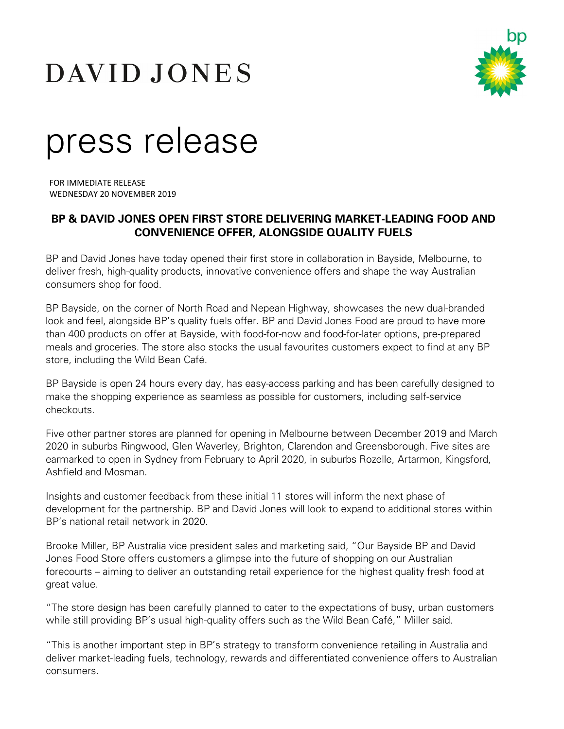# DAVID JONES



## press release

FOR IMMEDIATE RELEASE WEDNESDAY 20 NOVEMBER 2019

### **BP & DAVID JONES OPEN FIRST STORE DELIVERING MARKET-LEADING FOOD AND CONVENIENCE OFFER, ALONGSIDE QUALITY FUELS**

BP and David Jones have today opened their first store in collaboration in Bayside, Melbourne, to deliver fresh, high-quality products, innovative convenience offers and shape the way Australian consumers shop for food.

BP Bayside, on the corner of North Road and Nepean Highway, showcases the new dual-branded look and feel, alongside BP's quality fuels offer. BP and David Jones Food are proud to have more than 400 products on offer at Bayside, with food-for-now and food-for-later options, pre-prepared meals and groceries. The store also stocks the usual favourites customers expect to find at any BP store, including the Wild Bean Café.

BP Bayside is open 24 hours every day, has easy-access parking and has been carefully designed to make the shopping experience as seamless as possible for customers, including self-service checkouts.

Five other partner stores are planned for opening in Melbourne between December 2019 and March 2020 in suburbs Ringwood, Glen Waverley, Brighton, Clarendon and Greensborough. Five sites are earmarked to open in Sydney from February to April 2020, in suburbs Rozelle, Artarmon, Kingsford, Ashfield and Mosman.

Insights and customer feedback from these initial 11 stores will inform the next phase of development for the partnership. BP and David Jones will look to expand to additional stores within BP's national retail network in 2020.

Brooke Miller, BP Australia vice president sales and marketing said, "Our Bayside BP and David Jones Food Store offers customers a glimpse into the future of shopping on our Australian forecourts – aiming to deliver an outstanding retail experience for the highest quality fresh food at great value.

"The store design has been carefully planned to cater to the expectations of busy, urban customers while still providing BP's usual high-quality offers such as the Wild Bean Café," Miller said.

"This is another important step in BP's strategy to transform convenience retailing in Australia and deliver market-leading fuels, technology, rewards and differentiated convenience offers to Australian consumers.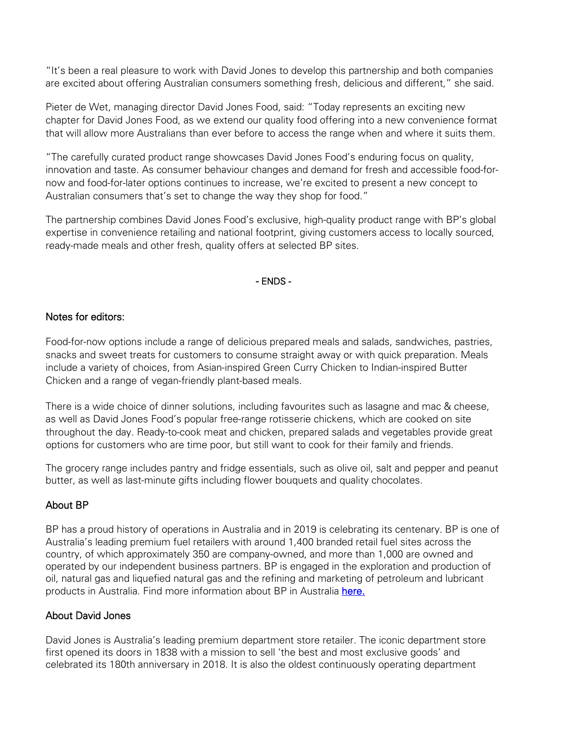"It's been a real pleasure to work with David Jones to develop this partnership and both companies are excited about offering Australian consumers something fresh, delicious and different," she said.

Pieter de Wet, managing director David Jones Food, said: "Today represents an exciting new chapter for David Jones Food, as we extend our quality food offering into a new convenience format that will allow more Australians than ever before to access the range when and where it suits them.

"The carefully curated product range showcases David Jones Food's enduring focus on quality, innovation and taste. As consumer behaviour changes and demand for fresh and accessible food-fornow and food-for-later options continues to increase, we're excited to present a new concept to Australian consumers that's set to change the way they shop for food."

The partnership combines David Jones Food's exclusive, high-quality product range with BP's global expertise in convenience retailing and national footprint, giving customers access to locally sourced, ready-made meals and other fresh, quality offers at selected BP sites.

#### - ENDS -

#### Notes for editors:

Food-for-now options include a range of delicious prepared meals and salads, sandwiches, pastries, snacks and sweet treats for customers to consume straight away or with quick preparation. Meals include a variety of choices, from Asian-inspired Green Curry Chicken to Indian-inspired Butter Chicken and a range of vegan-friendly plant-based meals.

There is a wide choice of dinner solutions, including favourites such as lasagne and mac & cheese, as well as David Jones Food's popular free-range rotisserie chickens, which are cooked on site throughout the day. Ready-to-cook meat and chicken, prepared salads and vegetables provide great options for customers who are time poor, but still want to cook for their family and friends.

The grocery range includes pantry and fridge essentials, such as olive oil, salt and pepper and peanut butter, as well as last-minute gifts including flower bouquets and quality chocolates.

#### About BP

BP has a proud history of operations in Australia and in 2019 is celebrating its centenary. BP is one of Australia's leading premium fuel retailers with around 1,400 branded retail fuel sites across the country, of which approximately 350 are company-owned, and more than 1,000 are owned and operated by our independent business partners. BP is engaged in the exploration and production of oil, natural gas and liquefied natural gas and the refining and marketing of petroleum and lubricant products in Australia. Find more information about BP in Australia [here.](http://www.bp.com.au/)

#### About David Jones

David Jones is Australia's leading premium department store retailer. The iconic department store first opened its doors in 1838 with a mission to sell 'the best and most exclusive goods' and celebrated its 180th anniversary in 2018. It is also the oldest continuously operating department